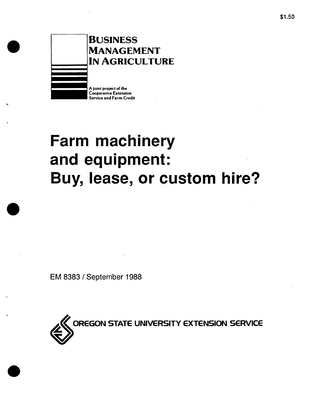

# **Farm machinery and equipment: Buy, lease, or custom hire?**

**EM 8383 / September 1988**

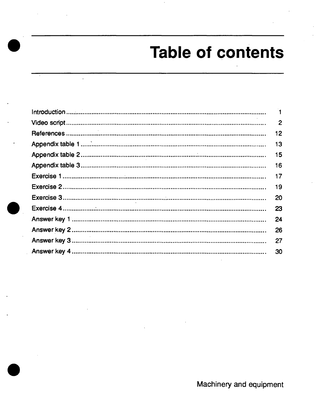# **Table of contents**

| $\mathbf{2}$ |
|--------------|
| 12           |
| 13           |
| 15           |
| 16           |
| 17           |
| 19           |
| 20           |
| 23           |
| 24           |
| 26           |
| 27           |
| 30           |
|              |

Machinery and equipment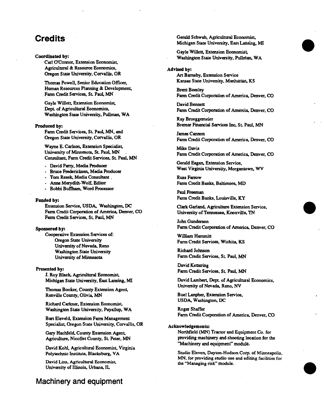## **Credits**

**Coordinated by: Carl O'Connor, Extension Economist, Agricultural & Resource Economics, Oregon State University, Corvallis, OR**

> **Thomas Powell, Senior Education Officer, Human Resources Planning & Development, Farm Credit Services, St Paul, MN**

**Gayle Willett, Extension Economist, DepL of Agricultural Economics, Washington State University, Pullman, WA**

#### **Produced by:**

**Farm Credit Services, St Paul, MN, and Oregon State University, Corvallis, OR**

**Wayne E. Carlson, Extension Specialist, University of Minnesota, St Paul, MN Consultant Farm Credit Services, St Paul, MN**

**- David Parry, Media Producer**

- **- Bruce Fredericksen, Media Producer**
- **- Tom Resek, Media Consultant.**
- **- Anne Maydith-Wolf, Editor**
- **- Bobbi Buffham, Word Processor**

#### **Funded by:**

**Extension Service, USDA, Washington, DC Farm Credit Corporation of America, Denver, CO Farm Credit Services, St Paul MN**

#### **Sponsored by:**

**Cooperative Extension Services of: Oregon State University University** of Nevada, Reno **Washington State University University of Minnesota**

#### **Presented by:**

**J. Roy Black, Agricultural Economist Michigan State University, East Lansing, MI**

**Thomas Booker, County Extension Agent Renville County, Olivia, MN**

**Richard Catkner, Extension Economist Washington State University, Puyallup, WA**

**Bart Eleveld, Extension Farm Management Specialist Oregon State University, Corvallis, OR**

**Gary Hachfeld, County Extension Agent Agriculture, Nicollet County, St Peter, MN**

**David Kohl, Agricultural Economist, Virginia Polytechnic Institute, Blacksburg, VA**

**David Lins, Agricultural Economist University ofIllinois, Urbana, IL**

### Machinery and equipment

**Gerald Schwab, Agricultural Economist Michigan State University, East Lansing, MI**

**Gayle Willeo, Extension Economist Washington State University, Pullman, WA**

**Advised by: Art Barnaby, Extension Service Kansas State University, Manhattan, KS**

> **Brent Beesley Farm Credit Corporation of America, Denver, CO**

> **David Bennett Farm Credit Corporation of Amercia, Denver, CO**

**Ray Brueggemeier Bremer Financial Services Inc. St Paul, MN**

**James Cannon Farm Credit Corporation of America, Denver, CO**

**Mike Davis Farm Credit Corporation of America, Denver, CO**

**Gerald Eagan, Extension Service, West Virginia University, Morgantown, WV**

**Russ Farrow Farm Credit Banks, Baltimore, MD**

**Paul Freeman Farm Credit Banks, Louisville, KY**

**Clark Garland, Agriculture Extension Service, University ofTennessee, Knoxville, TN**

**John Gunderson Farm Credit Corporation of America, Denver, CO**

**William Hammitt Farm Credit Services. Wichita, KS**

**Richard Johnson Farm Credit Services, St Paul, MN**

**David Kettering Farm Credit Services, St Paul, MN**

**David Lambert Dept of Agricultural Economics, University of Nevada, Reno, NV**

**Buel Lanpher, Extension Service, USDA, Washington. DC**

**Roger Shaffer Farm Credit Corporation of America, Denver, CO**

#### **Acknowledgements:**

**Northfield (MN) Tractor and Equipment Co. for providing machinery and shooting location for the "Machinery and equipment" module;**

**Studio Eleven. Dayton-Hudson Corp. ofMinneapolis, MN, for providing studio use and editing facilities for the "Managing risk" module.**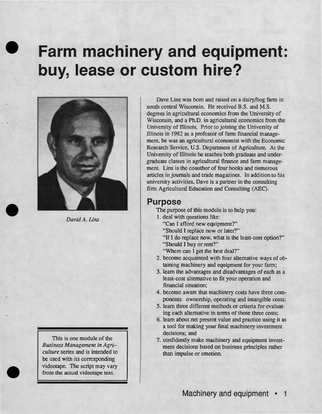# **Farm machinery and equipment: buy, lease or custom**



*David A. Lins*

This is one module of the *Business Management in Agriculture* series and is intended to be used with its corresponding videotape. The script may vary from the actual videotape text.

Dave Lins was bom and raised on a dairy/hog farm in south central Wisconsin. He received B.S. and M.S. degrees in agricultural economics from the University of Wisconsin, and a Ph.D. in agricultural economics from the University of Illinois. Prior to joining the University of Illinois in 1982 as a professor of farm financial management, he was an agricultural economist with the Economic Research Service, U.S. Department of Agriculture. At the University of Illinois he teaches both graduate and undergraduate classes in agricultural finance and farm management. Lins is the coauthor of four books and numerous articles in journals and trade magazines. In addition to his university activities, Dave is a partner in the consulting firm Agricultural Education and Consulting (AEC).

### **Purpose**

The purpose of this module is to help you:

- 1. deal with questions like:
	- "Can I afford new equipment?"
	- "Should I replace now or later?"
	- "If I do replace now, what is the least-cost option?" "Should I buy or rent?"
	- "Where can I get the best deal?"
- 2. become acquainted with four alternative ways of obtaining machinery and equipment for your farm;
- 3. learn the advantages and disadvantages of each as a least-cost alternative to fit your operation and financial situation;
- 4. become aware that machinery costs have three components: ownership, operating and intangible costs;
- 5. leam three different methods or criteria for evaluating each alternative in terms of those three costs;
- 6. leam about net present value and practice using it as a tool for making your final machinery investment decisions; and
- 7. confidently make machinery and equipment investment decisions based on business principles rather than impulse or emotion.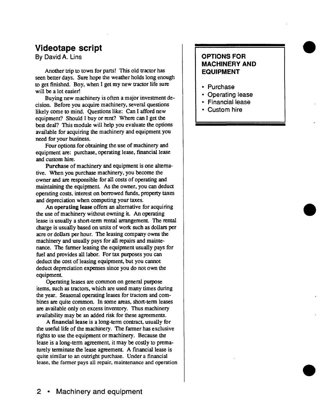### **Videotape script**

By David A. Lins

Another trip to town for parts! This old tractor has seen better days. Sure hope the weather holds long enough to get finished. Boy, when I get my new tractor life sure will be a lot easier!

Buying new machinery is often a major investment decision. Before you acquire machinery, several questions likely come to mind. Questions like: Can I afford new equipment? Should I buy or rent? Where can I get the best deal? This module will help you evaluate the options available for acquiring the machinery and equipment you need for your business.

Four options for obtaining the use of machinery and equipment are: purchase, operating lease, financial lease and custom hire.

**Purchase** of machinery and equipment is one alternative. When you purchase machinery, you become the owner and are responsible for all costs of operating and maintaining the equipment As the owner, you can deduct operating costs, interest on borrowed funds, property taxes and depreciation when computing your taxes.

An **operating lease** offers an altemative for acquiring the use of machinery without owning it. An operating lease is usually a short-term rental arrangement. The rental charge is usually based on units of work such as dollars per acre or dollars per hour. The leasing company owns the machinery and usually pays for all repairs and maintenance. The farmer leasing the equipment usually pays for fuel and provides all labor. For tax purposes you can deduct the cost of leasing equipment, but you cannot deduct depreciation expenses since you do not own the equipment

Operating leases are common on general purpose items, such as tractors, which are used many times during the year. Seasonal operating leases for tractors and combines are quite common. In some areas, short-term leases are available only on excess inventory. Thus machinery availability may be an added risk for these agreements.

A **financial** lease is a long-term contract, usually for the useful life of the machinery. The farmer has exclusive rights to use the equipment or machinery. Because the lease is a long-term agreement, it may be costly to prematurely terminate the lease agreement. A financial lease is quite similar to an outright purchase. Under a financial lease, the farmer pays all repair, maintenance and operation

### **OPTIONS FOR MACHINERY AND EQUIPMENT**

- Purchase
- Operating lease
- Financial lease
- Custom hire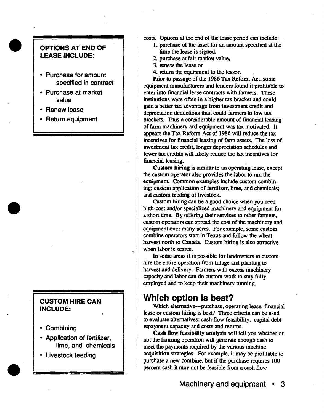#### **OPTIONS AT END OF LEASE INCLUDE:**

- Purchase for amount specified in contract
- Purchase at market value
- Renew lease
- Return equipment

#### **CUSTOM HIRE CAN INCLUDE:**

- Combining
- Application of fertilizer, lime, and chemicals
- Livestock feeding

costs. Options at the end of the lease period can include: .

- 1. purchase of the asset for an amount specified at the time the lease is signed,
- 2. purchase at fair market value,
- 3. renew the lease or
- 4. return the equipment to the lessor.

Prior to passage of the 1986 Tax Reform Act, some equipment manufacturers and lenders found it profitable to enter into financial lease contracts with fanners. These institutions were often in a higher tax bracket and could gain a better tax advantage from investment credit and depreciation deductions than could farmers in low tax brackets. Thus a considerable amount of financial leasing of farm machinery and equipment was tax motivated. It appears the Tax Reform Act of 1986 will reduce the tax incentives for financial leasing of farm assets. The loss of investment tax credit, longer depreciation schedules and fewer tax credits will likely reduce the tax incentives for financial leasing.

**Custom hiring** is similar to an operating lease, except the custom operator also provides the labor to run the equipment. Common examples include custom combining; custom application of fertilizer, lime, and chemicals; and custom feeding of livestock.

Custom hiring can be a good choice when you need high-cost and/or specialized machinery and equipment for a short time. By offering their services to other farmers, custom operators can spread the cost of the machinery and equipment over many acres. For example, some custom combine operators start in Texas and follow the wheat harvest north to Canada. Custom hiring is also attractive when labor is scarce.

In some areas it is possible for landowners to custom hire the entire operation from tillage and planting to harvest and delivery. Farmers with excess machinery capacity and labor can do custom work to stay fully employed and to keep their machinery running.

## **Which option is best?**

Which alternative—purchase, operating lease, financial lease or custom hiring is best? Three criteria can be used to evaluate alternatives: cash flow feasibility, capital debt repayment capacity and costs and returns.

Cash flow feasibility analysis will tell you whether or not the farming operation will generate enough cash to meet the payments required by the various machine acquisition strategies. For example, it may be profitable to purchase a new combine, but if the purchase requires 100 percent cash it may not be feasible from a cash flow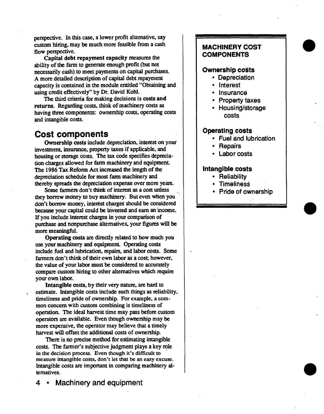perspective. In this case, a lower profit alternative, say custom hiring, may be much more feasible from a cash flow perspective.

**Capital debt repayment capacity** measures the ability of the farm to generate enough profit (but not necessarily cash) to meet payments on capital purchases. A more detailed description of capital debt repayment capacity is contained in the module entitled "Obtaining and using credit effectively" by Dr. David Kohl.

The third criteria for making decisions is **costs and returns.** Regarding costs, think of machinery costs as having three components: ownership costs, operating costs and intangible costs.

### **Cost components**

**Ownership costs** include depreciation, interest on your investment, insurance, property taxes if applicable, and housing or storage costs. The tax code specifies depreciation charges allowed for farm machinery arid equipment The 1986 Tax Reform Act increased the length of the depreciation schedule for most fann machinery and thereby spreads the depreciation expense over more years.

Some farmers don't think of interest as a cost unless they borrow mdney to buy machinery. But even when you don't borrow money, interest charges should be considered because your capital could be invested and earn an income. If you include interest charges in your comparison of purchase and honpurchase alternatives, your figures will be more meaningful.

**Operating** costs are directly related to how much you use your machinery and equipment. Operating costs include fuel and lubrication, repairs, and labor costs. Some farmers don't think of their own labor as a cost; however, the value of your labor must be considered to accurately compare custom hiring to other alternatives which require your own labor.

**Intangible** costs, by their very nature, are hard to estimate. Intangible costs include such things as reliability, timeliness and pride of ownership. For example, a common concern with custom combining is timeliness of operation. The ideal harvest time may pass before custom operators are available. Even though ownership may be more expensive, the operator may believe that a timely harvest will offset the additional costs of ownership.

There is no precise method for estimating intangible costs. The farmer's subjective judgment plays a key role in the decision process. Even though it's difficult to measure intangible costs, don't let that be an easy excuse. Intangible costs are important in comparing machinery alternatives.

#### **MACHINERY COST COMPONENTS**

#### **Ownership costs**

- Depreciation
- Interest
- Insurance
- Property taxes
- Housing/storage costs

#### **Operating costs**

- Fuel and lubrication
- Repairs
- Labor costs

#### **Intangible costs**

- Reliability
- **• Timelines^**
- Pride of ownership

**4 • Machinery and equipment**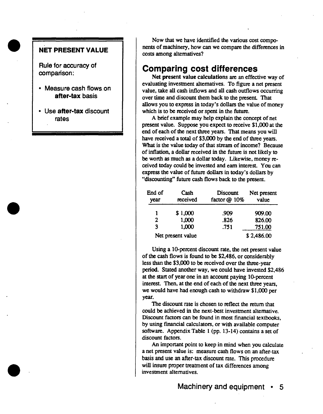

#### **NET PRESENT VALUE**

**Rule for accuracy of comparison:**

- **• Measure cash flows on after-tax basis**
- **• Use after-tax discount rates**

Now that we have identified the various cost components of machinery, how can we compare the differences in costs among alternatives?

### **Comparing cost differences**

**Net present value calculations** are an effective way of evaluating investment alternatives. To figure a net present value, take all cash inflows and all cash outflows occurring over time and discount them back to the present. That allows you to express in today's dollars the value of money which is to be received or spent in the future.

A brief example may help explain the concept of net present value. Suppose you expect to receive \$1,000 at the end of each of the next three years. That means you will have received a total of \$3,000 by the end of three years. What is the value today of that stream of income? Because of inflation, a dollar received in the future is not likely to be worth as much as a dollar today. Likewise, money received today could be invested and earn interest. You can express the value of future dollars in today's dollars by "discounting" future cash flows back to the present.

| End of<br>year | Cash<br>received  | Discount<br>factor @ 10% | Net present<br>value |
|----------------|-------------------|--------------------------|----------------------|
| 1              | \$1,000           | .909                     | 909.00               |
| $\overline{2}$ | 1,000             | .826                     | 826.00               |
| 1,000<br>3     |                   | .751                     | 751.00               |
|                | Net present value |                          | \$2,486.00           |

Using a 10-percent discount rate, the net present value of the cash flows is found to be \$2,486, or considerably less than the \$3,000 to be received over the three-year period. Stated another way, we could have invested \$2,486 at the start of year one in an account paying 10-percent interest. Then, at the end of each of the next three years, we would have had enough cash to withdraw \$1,000 per year.

The discount rate is chosen to reflect the return that could be achieved in the next-best investment alternative. Discount factors can be found in most financial textbooks, by using financial calculators, or with available computer software. Appendix Table <sup>1</sup> (pp. 13-14) contains a set of discount factors.

An important point to keep in mind when you calculate a net present value is: measure cash flows on an after-tax basis and use an after-tax discount rate. This procedure will insure proper treatment of tax differences among investment alternatives.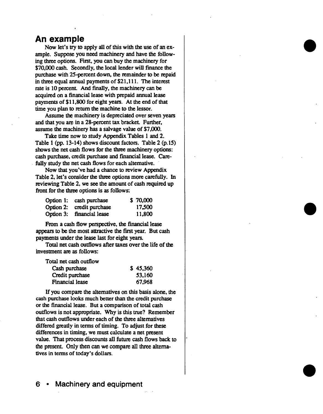### **An example**

**Now let's try to apply all of this with the use of an example. Suppose you need machinery and have the following three options. First, you can buy the machinery for \$70,000 cash. Secondly, the local lender will finance the purchase with 25-percent down, the remainder to be repaid in three equal annual payments of \$21,111. The interest rate is 10 percent And finally, the machinery can be acquired on a financial lease with prepaid annual lease payments** of \$11,800 for eight years. At the end of that **time you plan to return the machine to the lessor.**

**Assume the machinery is depreciated over seven years and that you are in a 28-percent tax bracket Further, assume die machinery has a salvage value of \$7,000.**

**Take time now to study Appendix Tables <sup>1</sup> and 2. Table <sup>1</sup> (pp. 13-14) shows discount factors. Table 2 (p. 15) shows the net cash flows for the three machinery options: cash purchase, credit purchase and financial lease. Carefully study the net cash flows for each alternative.**

**Now that you've had a chance to review Appendix Table 2, let's consider the three options more carefully. In reviewing Table 2, we see the amount of cash required up front for the three options is as follows:**

| Option 1: | cash purchase             | \$70,000 |
|-----------|---------------------------|----------|
| Option 2: | credit purchase           | 17,500   |
|           | Option 3: financial lease | 11,800   |

**From a cash flow perspective, the financial lease appears to be the most attractive the first year. But cash payments under the lease last for eight years.**

**Total net cash outflows after taxes over the life ofthe investment are as follows:**

**Total net cash outflow**

| Cash purchase          | \$45,360 |
|------------------------|----------|
| Credit purchase        | 53,160   |
| <b>Financial lease</b> | 67,968   |

**If you compare the alternatives on this basis alone, the cash purchase looks much better than the credit purchase or the financial lease. But a comparison of total cash outflows is not appropriate. Why is this true? Remember that cash outflows under each of the three alternatives differed greatly in terms oftiming. To adjust for these differences in timing, we must calculate a net present value. That process discounts all future cash flows back to the present Only then can we compare all three alternatives in terms of today's dollars.**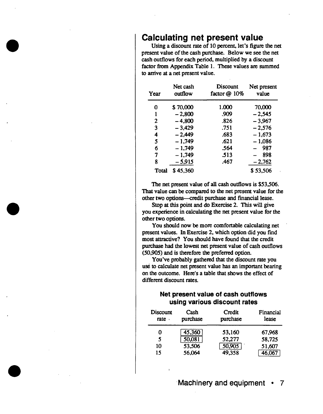### **Calculating net present value**

Using a discount rate of 10 percent, let's figure the net present value of the cash purchase. Below we see the net cash outflows for each period, multiplied by a discount factor from Appendix Table 1. These values are summed to arrive at a net present value.

| Year  | Net cash<br>outflow | Discount<br>factor @ 10% | Net present<br>value |
|-------|---------------------|--------------------------|----------------------|
| O     | \$70,000            | 1.000                    | 70,000               |
| 1     | $-2,800$            | .909                     | $-2,545$             |
| 2     | $-4,800$            | .826                     | $-3,967$             |
| 3     | $-3,429$            | .751                     | $-2,576$             |
| 4     | $-2,449$            | .683                     | $-1,673$             |
| 5     | $-1,749$            | .621                     | $-1,086$             |
| 6     | $-1,749$            | .564                     | 987                  |
| 7     | $-1,749$            | .513                     | 898                  |
| 8     | $-5,915$            | .467                     | $-2,762$             |
| Total | \$45,360            |                          | \$53,506             |

The net present value of all cash outflows is \$53,506. That value can be compared to the net present value for the other two options—credit purchase and financial lease.

Stop at this point and do Exercise 2. This will give you experience in calculating the net present value for the other two options.

You should now be more comfortable calculating net present values. In Exercise 2, which option did you find most attractive? You should have found that the credit purchase had the lowest net present value of cash outflows (50,905) and is therefore the preferred option.

You've probably gathered that the discount rate you use to calculate net present value has an important bearing on the outcome. Here's a table that shows the effect of different discount rates.

#### **Net present value of cash outflows using various discount rates**

| Discount<br>$rate \cdot$ | Cash<br>purchase | Credit<br>purchase | Financial<br>lease |
|--------------------------|------------------|--------------------|--------------------|
| O                        | 45,360           | 53,160             | 67,968             |
| 5                        | 50,081           | 52,277             | 58,725             |
| 10                       | 53,506           | 50,905             | 51,607             |
| 15                       | 56,064           | 49,358             |                    |

**Machinery and equipment**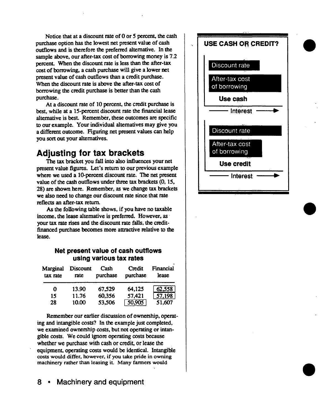**Notice that at a discount rate of 0 or 5 percent, the cash purchase option has the lowest net present value of cash Outflows and is therefore the preferred alternative. In the sample above, our after-tax cost of borrowing money is 7.2 percent When the discount rate is less than the after-tax cost of borrowing, a cash purchase will give a lower net present value of cash outflows than a credit purchase. When the discount rate is above the after-tax cost of borrowing the credit purchase is better than the cash purchase.**

**At a discount rate of 10 percent, the credit purchase is best, while at a 15-percent discount rate the financial lease alternative is best Remember, these outcomes are specific to our example. Your individual alternatives may give you a different outcome. Figuring net present values can help you sort out your alternatives.**

## **Adjusting for tax brackets**

**The tax bracket you fall into also influences your net present value figures. Let's return to our previous example where we used a 10-percent discount rate. The net present value ofthe cash outflows under three tax brackets (0,15, 28) are shown here. Remember, as we change tax brackets we also need to change Our discount rate since that rate reflects an after-tax return.**

**As the following table shows, if you have no taxable income, the lease alternative is preferred. However, as your tax rate rises and the discount rate falls, the creditfinanced purchase becomes more attractive relative to the lease.**

#### **Net present value of cash outflows using various tax rates**

| Marginal<br>tax rate | <b>Discount</b><br>rate | Cash<br>purchase | Credit<br>purchase | Financial<br>lease |
|----------------------|-------------------------|------------------|--------------------|--------------------|
| 0                    | 13.90                   | 67.529           | 64,125             | 62,558             |
| 15                   | 11.76                   | 60,356           | 57,421             | 57,198             |
| 28                   | 10.00                   | 53,506           | 50,905             | 51,607             |

**Remember our earlier discussion of ownership, operating and intangible costs? In the example just completed, we examined ownership costs, but not operating or intangible costs. We could ignore operating costs because whether we purchase with cash or credit, or lease the equipment operating costs would be identical. Intangible** costs would differ, however, if you take pride in owning machinery rather than leasing it. Many fanners would

Discount rate After-tax cost of borrowing **Use cash Interest** Discount rate After-tax cost of borrowing **Use credit Interest**

**USE CASH OR CREDIT?**

## **8 • Machinery and equipment**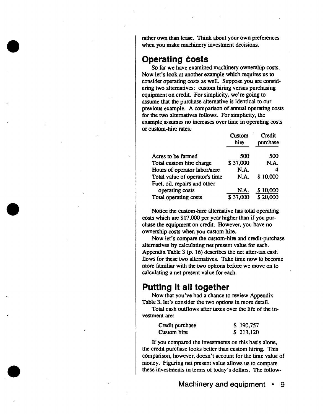rather own than lease. Think about your own preferences when you make machinery investment decisions.

### **Operating costs**

So far we have examined machinery ownership costs. Now let's look at another example which requires us to consider operating costs as welL Suppose you are considering two alternatives: custom hiring versus purchasing equipment on credit. For simplicity, we're going to assume that the purchase alternative is identical to our previous example. A comparison of annual operating costs for the two alternatives follows. For simplicity, the example assumes no increases over time in operating costs or custom-hire rates.

|                                                                | Custom<br>hire | Credit<br>purchase |
|----------------------------------------------------------------|----------------|--------------------|
| Acres to be farmed                                             | 500            | 500                |
| Total custom hire charge                                       | \$37,000       | N.A.               |
| Hours of operator labor/acre                                   | N.A.           | 4                  |
| Total value of operator's time<br>Fuel, oil, repairs and other | <b>N.A.</b>    | \$10,000           |
| operating costs                                                | N.A.           | \$10,000           |
| Total operating costs                                          | \$37,000       | \$20,000           |

Notice the custom-hire alternative has total operating costs which are \$17,000 per year higher than if you purchase the equipment on credit. However, you have no ownership costs when you custom hire.

Now let's compare the custom-hire and credit-purchase alternatives by calculating net present value for each. Appendix Table 3 (p. 16) describes the net after-tax cash flows for these two alternatives. Take time now to become more familiar with the two options before we move on to calculating a net present value for each.

## **Putting it all together**

Now that you've had a chance to review Appendix Table 3, let's consider the two options in more detail.

Total cash outflows after taxes over the life of the investment are:

| Credit purchase | \$190,757 |
|-----------------|-----------|
| Custom hire     | \$213,120 |

If you compared the investments on this basis alone, the credit purchase looks better than custom hiring. This comparison, however, doesn't account for the time value of money. Figuring net present value allows us to compare these investments in terms of today's dollars. The follow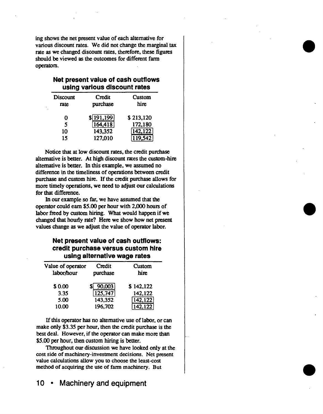**ing shows the net present value of each alternative for various discount rates. We did not change the marginal tax rate as we changed discount rates, therefore, these figures should be viewed as the outcomes for different farm operators.**

#### **Net present value of cash outflows using various discount rates**

| Discount<br>rate | Credit<br>purchase | Custom<br>hire |
|------------------|--------------------|----------------|
| 0                | \$191,199          | \$213,120      |
| 5                | 164,418            | 172,180        |
| 10               | 143,352            | 142,122        |
| 15               | 127,010            |                |

**Notice that at low discount rates, the credit purchase alternative is better. At high discount rates the custom-hire alternative is better. In this example, we assumed no difference in the timeliness of operations between credit purchase** and **custom** hire. If the **credit** purchase allows for **more timely operations, we need to adjust our calculations for that difference.**

**In our example so far, we have assumed that the operator could earn \$5.00 per hour with 2,000 hours of labor freed by custom hiring. What would happen if we changed that hourly rate? Here we show how net present values change as we adjust the value of operator labor.**

#### **Net present value of cash outflows: credit purchase versus custom hire using alternative wage rates**

| Value of operator<br>labor/hour | Credit<br>purchase | Custom<br>hire |
|---------------------------------|--------------------|----------------|
| \$0.00                          | 90,003             | \$142,122      |
| 3.35                            | 125,747            | 142,122        |
| 5.00                            | 143,352            | 142,122        |
| 10.00                           | 196,702            | 42.122         |

**If this operator has no alternative use oflabor, or can make only \$3.35 per hour, then the credit purchase is the best deal. However, if the operator can make more than \$5.00 per hour, then custom hiring is better.**

**Throughout our discussion we have looked only at the cost side of machinery-investment decisions. Net present value calculations allow you to choose the least-cost method of acquiring the use of farm machinery. But**

## **10 • Machinery and equipment**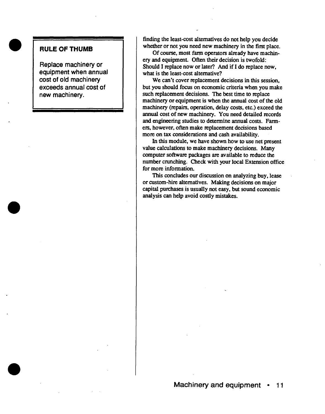#### RULE OF THUMB

Replace machinery or equipment when annual cost of old machinery exceeds annual cost of new machinery.

finding the least-cost alternatives do not help you decide whether or not you need new machinery in the first place.

Of course, most farm operators already have machinery and equipment. Often their decision is twofold: Should I replace now or later? And if I do replace now, what is the least-cost alternative?

We can't cover replacement decisions in this session, but you should focus on economic criteria when you make such replacement decisions. The best time to replace machinery or equipment is when the annual cost of the old machinery (repairs, operation, delay costs, etc.) exceed the annual cost of new machinery. You need detailed records and engineering studies to determine annual costs. Farmers, however, often make replacement decisions based more on tax considerations and cash availability.

In this module, we have shown how to use net present value calculations to make machinery decisions. Many computer software packages are available to reduce the number crunching. Check with your local Extension office for more information.

This concludes our discussion on analyzing buy, lease or custom-hire alternatives. Making decisions on major capital purchases is usually not easy, but sound economic analysis can help avoid costly mistakes.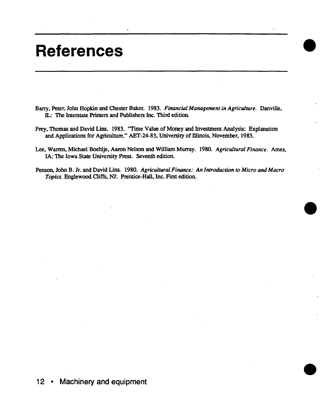# **References**

- Barry, Peter, John Hopkin and Chester Baker. 1983. *Financial Management in Agriculture.* Danville, IL: The Interstate Printers and Publishers Inc. Third edition.
- Frey, Thomas and David Lins. 1983. 'Time Value of Money and Investment Analysis: Explanation and Applications for Agriculture." AET-24-83, University of Illinois, November, 1983.
- Lee, Warren, Michael Boehlje, Aaron Nelson and William Murray. 1980. *Agricultural Finance.* Ames, LA: The Iowa State University Press. Seventh edition.
- Penson, John B. Jr. and David Lins. 1980. *Agricultural Finance: An Introduction to Micro and Macro Topics.* Englewood Cliffs, NJ: Prentice-Hall, Inc. First edition.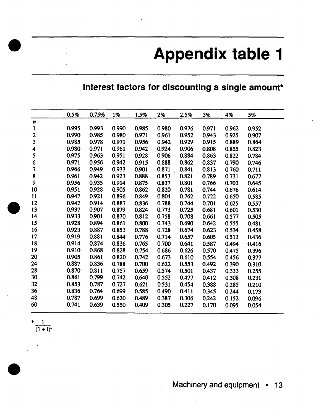# Appendix tabl

|                         | Interest factors for discounting a single amount* |       |       |       |       |       |       |       |       |
|-------------------------|---------------------------------------------------|-------|-------|-------|-------|-------|-------|-------|-------|
|                         | 0.5%                                              | 0.75% | $1\%$ | 1.5%  | 2%    | 2.5%  | 3%    | 4%    | 5%    |
| $\pmb{n}$               |                                                   |       |       |       |       |       |       |       |       |
| $\mathbf{1}$            | 0.995                                             | 0.993 | 0.990 | 0.985 | 0.980 | 0.976 | 0.971 | 0.962 | 0.952 |
| $\overline{\mathbf{c}}$ | 0.990                                             | 0.985 | 0.980 | 0.971 | 0.961 | 0.952 | 0.943 | 0.925 | 0.907 |
| 3                       | 0.985                                             | 0.978 | 0.971 | 0.956 | 0.942 | 0.929 | 0.915 | 0.889 | 0.864 |
| 4                       | 0.980                                             | 0.971 | 0.961 | 0.942 | 0.924 | 0.906 | 0.808 | 0.855 | 0.823 |
| 5                       | 0.975                                             | 0.963 | 0.951 | 0.928 | 0.906 | 0.884 | 0.863 | 0.822 | 0.784 |
| 6                       | 0.971                                             | 0.956 | 0.942 | 0.915 | 0.888 | 0.862 | 0.837 | 0.790 | 0.746 |
| 7                       | 0.966                                             | 0.949 | 0.933 | 0.901 | 0.871 | 0.841 | 0.813 | 0.760 | 0.711 |
| 8                       | 0.961                                             | 0.942 | 0.923 | 0.888 | 0.853 | 0.821 | 0.789 | 0.731 | 0.677 |
| 9                       | 0.956                                             | 0.935 | 0.914 | 0.875 | 0.837 | 0.801 | 0.766 | 0.703 | 0.645 |
| 10                      | 0.951                                             | 0.928 | 0.905 | 0.862 | 0.820 | 0.781 | 0.744 | 0.676 | 0.614 |
| 11                      | 0.947                                             | 0.921 | 0.896 | 0.849 | 0.804 | 0.762 | 0.722 | 0.650 | 0.585 |
| 12                      | 0.942                                             | 0.914 | 0.887 | 0.836 | 0.788 | 0.744 | 0.701 | 0.625 | 0.557 |
| 13                      | 0.937                                             | 0.907 | 0.879 | 0.824 | 0.773 | 0.725 | 0.681 | 0.601 | 0.530 |
| 14                      | 0.933                                             | 0.901 | 0.870 | 0.812 | 0.758 | 0.708 | 0.661 | 0.577 | 0.505 |
| 15                      | 0.928                                             | 0.894 | 0.861 | 0.800 | 0.743 | 0.690 | 0.642 | 0.555 | 0.481 |
| 16                      | 0.923                                             | 0.887 | 0.853 | 0.788 | 0.728 | 0.674 | 0.623 | 0.534 | 0.458 |
| 17                      | 0.919                                             | 0.881 | 0.844 | 0.776 | 0.714 | 0.657 | 0.605 | 0.513 | 0.436 |
| 18                      | 0.914                                             | 0.874 | 0.836 | 0.765 | 0.700 | 0.641 | 0.587 | 0.494 | 0.416 |
| 19                      | 0.910                                             | 0.868 | 0.828 | 0.754 | 0.686 | 0.626 | 0.570 | 0.475 | 0.396 |
| 20                      | 0.905                                             | 0.861 | 0.820 | 0.742 | 0.673 | 0.610 | 0.554 | 0.456 | 0.377 |
| 24                      | 0.887                                             | 0.836 | 0.788 | 0.700 | 0.622 | 0.553 | 0.492 | 0.390 | 0.310 |
| 28                      | 0.870                                             | 0.811 | 0.757 | 0.659 | 0.574 | 0.501 | 0.437 | 0.333 | 0.255 |
| 30                      | 0.861                                             | 0.799 | 0.742 | 0.640 | 0.552 | 0.477 | 0.412 | 0.308 | 0.231 |
| 32                      | 0.853                                             | 0.787 | 0.727 | 0.621 | 0.531 | 0.454 | 0.388 | 0.285 | 0.210 |
| 36                      | 0.836                                             | 0.764 | 0.699 | 0.585 | 0.490 | 0.411 | 0.345 | 0.244 | 0.173 |
| 48                      | 0.787                                             | 0.699 | 0.620 | 0.489 | 0.387 | 0.306 | 0.242 | 0.152 | 0.096 |
| 60                      | 0.741                                             | 0.639 | 0.550 | 0.409 | 0.305 | 0.227 | 0.170 | 0.095 | 0.054 |
|                         |                                                   |       |       |       |       |       |       |       |       |

 $\frac{1}{(1+i)^n}$ 

**achinery and equipment • 13**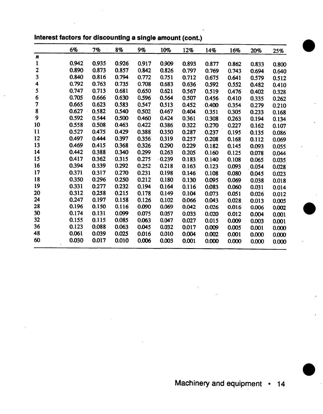|  |  | Interest factors for discounting a single amount (cont.) |  |  |  |
|--|--|----------------------------------------------------------|--|--|--|
|--|--|----------------------------------------------------------|--|--|--|

|                  | 6%    | 7%    | 8%    | 9%    | 10%      | 12%   | 14%   | 16%   | 20%   | 25%   |
|------------------|-------|-------|-------|-------|----------|-------|-------|-------|-------|-------|
| $\boldsymbol{n}$ |       |       |       |       |          |       |       |       |       |       |
| $\mathbf{1}$     | 0.942 | 0.935 | 0.926 | 0.917 | 0.909    | 0.893 | 0.877 | 0.862 | 0.833 | 0.800 |
| $\mathbf{2}$     | 0.890 | 0.873 | 0.857 | 0.842 | 0.826    | 0.797 | 0.769 | 0.743 | 0.694 | 0.640 |
| 3                | 0.840 | 0.816 | 0.794 | 0.772 | 0.751    | 0.712 | 0.675 | 0.641 | 0.579 | 0.512 |
| 4                | 0.792 | 0.763 | 0.735 | 0.708 | 0.683    | 0.636 | 0.592 | 0.552 | 0.482 | 0.410 |
| 5                | 0.747 | 0.713 | 0.681 | 0.650 | 0.621    | 0.567 | 0.519 | 0.476 | 0.402 | 0.328 |
| 6                | 0.705 | 0.666 | 0.630 | 0.596 | 0.564    | 0.507 | 0.456 | 0.410 | 0.335 | 0.262 |
| 7                | 0.665 | 0.623 | 0.583 | 0.547 | 0.513    | 0.452 | 0.400 | 0.354 | 0.279 | 0.210 |
| 8                | 0.627 | 0.582 | 0.540 | 0.502 | 0.467    | 0.404 | 0.351 | 0.305 | 0.233 | 0.168 |
| 9                | 0.592 | 0.544 | 0.500 | 0.460 | 0.424    | 0.361 | 0.308 | 0.263 | 0.194 | 0.134 |
| 10               | 0.558 | 0.508 | 0.463 | 0.422 | 0.386    | 0.322 | 0.270 | 0.227 | 0.162 | 0.107 |
| 11               | 0.527 | 0.475 | 0.429 | 0.388 | 0.350    | 0.287 | 0.237 | 0.195 | 0.135 | 0.086 |
| 12               | 0.497 | 0.444 | 0.397 | 0.356 | 0.319    | 0.257 | 0.208 | 0.168 | 0.112 | 0.069 |
| 13               | 0.469 | 0.415 | 0.368 | 0.326 | 0.290    | 0.229 | 0.182 | 0.145 | 0.093 | 0.055 |
| 14               | 0.442 | 0.388 | 0.340 | 0.299 | 0.263    | 0.205 | 0.160 | 0.125 | 0.078 | 0.044 |
| 15               | 0.417 | 0.362 | 0.315 | 0.275 | $-0.239$ | 0.183 | 0.140 | 0.108 | 0.065 | 0.035 |
| 16               | 0.394 | 0.339 | 0.292 | 0.252 | 0.218    | 0.163 | 0.123 | 0.093 | 0.054 | 0.028 |
| 17               | 0.371 | 0.317 | 0.270 | 0.231 | 0.198    | 0.146 | 0.108 | 0.080 | 0.045 | 0.023 |
| 18               | 0.350 | 0.296 | 0.250 | 0.212 | 0.180    | 0.130 | 0.095 | 0.069 | 0.038 | 0.018 |
| 19               | 0.331 | 0.277 | 0.232 | 0.194 | 0.164    | 0.116 | 0.083 | 0.060 | 0.031 | 0.014 |
| 20               | 0.312 | 0.258 | 0.215 | 0.178 | 0.149    | 0.104 | 0.073 | 0.051 | 0.026 | 0.012 |
| 24               | 0.247 | 0.197 | 0.158 | 0.126 | 0.102    | 0.066 | 0.043 | 0.028 | 0.013 | 0.005 |
| 28               | 0.196 | 0.150 | 0.116 | 0.090 | 0.069    | 0.042 | 0.026 | 0.016 | 0.006 | 0.002 |
| 30               | 0.174 | 0.131 | 0.099 | 0.075 | 0.057    | 0.033 | 0.020 | 0.012 | 0.004 | 0.001 |
| 32               | 0.155 | 0.115 | 0.085 | 0.063 | 0.047    | 0.027 | 0.015 | 0.009 | 0.003 | 0.001 |
| 36               | 0.123 | 0.088 | 0.063 | 0.045 | 0.032    | 0.017 | 0.009 | 0.005 | 0.001 | 0.000 |
| 48               | 0.061 | 0.039 | 0.025 | 0.016 | 0.010    | 0.004 | 0.002 | 0.001 | 0.000 | 0.000 |
| 60               | 0.030 | 0.017 | 0.010 | 0.006 | 0.003    | 0.001 | 0.000 | 0.000 | 0.000 | 0.000 |
|                  |       |       |       |       |          |       |       |       |       |       |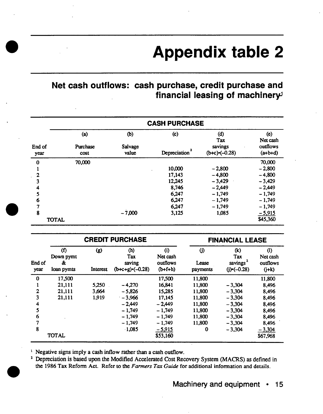# **Appendix table 2**

## **Net cash outflows: cash purchase, credit purchase and financial leasing of machinery**

|                |                         |                         | <b>CASH PURCHASE</b>              |                                                     |                                              |
|----------------|-------------------------|-------------------------|-----------------------------------|-----------------------------------------------------|----------------------------------------------|
| End of<br>year | (a)<br>Purchase<br>cost | (b)<br>Salvage<br>value | $\left( c\right)$<br>Depreciation | $\mathbf{d}$<br>Tax<br>savings<br>$(b+c)$ $(-0.28)$ | (e)<br>Net cash<br>outflows<br>$(a + b + d)$ |
| $\bf{0}$       | 70,000                  |                         |                                   |                                                     | 70,000                                       |
|                |                         |                         | 10,000                            | $-2,800$                                            | $-2,800$                                     |
| $\mathbf{2}$   |                         |                         | 17,143                            | $-4,800$                                            | $-4,800$                                     |
| 3              |                         |                         | 12,245                            | $-3,429$                                            | $-3,429$                                     |
| 4              |                         |                         | 8,746                             | $-2,449$                                            | $-2,449$                                     |
| 5              |                         |                         | 6,247                             | $-1,749$                                            | $-1,749$                                     |
| 6              |                         |                         | 6,247                             | $-1,749$                                            | $-1,749$                                     |
| 7              |                         |                         | 6,247                             | $-1,749$                                            | $-1,749$                                     |
| 8              |                         | $-7,000$                | 3,125                             | 1,085                                               | <u>– 5,915</u>                               |
|                | <b>TOTAL</b>            |                         |                                   |                                                     | \$45,360                                     |

|                |                                          |                 | <b>CREDIT PURCHASE</b>                      |                                          |                               | <b>FINANCIAL LEASE</b>                                              |                                                      |
|----------------|------------------------------------------|-----------------|---------------------------------------------|------------------------------------------|-------------------------------|---------------------------------------------------------------------|------------------------------------------------------|
| End of<br>year | $\bf(f)$<br>Down pymt<br>&<br>loan pymts | (g)<br>Interest | (h)<br>Tax<br>saving<br>$(b+c+g)$ $(-0.28)$ | (i)<br>Net cash<br>outflows<br>$(b+f+h)$ | $\omega$<br>Lease<br>payments | $\left( k\right)$<br>Tax<br>savings <sup>2</sup><br>$(i)$ $(-0.28)$ | $\left( 1\right)$<br>Net cash<br>outflows<br>$(j+k)$ |
| $\mathbf 0$    | 17,500                                   |                 |                                             | 17,500                                   | 11,800                        |                                                                     | 11,800                                               |
|                | 21,111                                   | 5,250           | $-4,270$                                    | 16,841                                   | 11,800                        | $-3,304$                                                            | 8,496                                                |
| $\mathbf 2$    | 21,111                                   | 3,664           | $-5,826$                                    | 15,285                                   | 11,800                        | $-3,304$                                                            | 8,496                                                |
| 3              | 21,111                                   | 1,919           | $-3,966$                                    | 17,145                                   | 11,800                        | $-3,304$                                                            | 8,496                                                |
| 4              |                                          |                 | $-2,449$                                    | $-2,449$                                 | 11,800                        | $-3,304$                                                            | 8,496                                                |
|                |                                          |                 | $-1,749$                                    | $-1,749$                                 | 11,800                        | $-3,304$                                                            | 8,496                                                |
| 6              |                                          |                 | $-1,749$                                    | $-1,749$                                 | 11,800                        | $-3,304$                                                            | 8,496                                                |
|                |                                          |                 | $-1,749$                                    | $-1,749$                                 | 11,800                        | $-3,304$                                                            | 8,496                                                |
| 8              |                                          |                 | $-1,085$                                    | $-5,915$                                 | 0                             | $-3.304$                                                            | $-3,304$                                             |
|                | <b>TOTAL</b>                             |                 |                                             | \$53,160                                 |                               |                                                                     | \$67,968                                             |

<sup>1</sup> Negative signs imply a cash inflow rather than a cash outflow.

<sup>2</sup> Depreciation is based upon the Modified Accelerated Cost Recovery System (MACRS) as defined in the 1986 Tax Reform Act. Refer to the *Farmers Tax Guide* for additional information and details.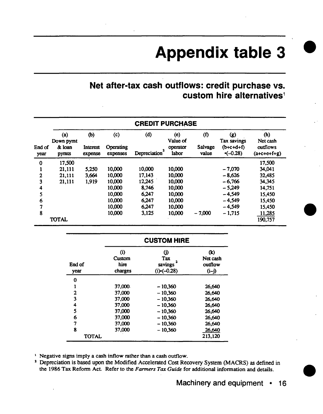# **Appendix table 3**

## **Net after-tax cash outflows: credit purchase vs. custom hire alternatives<sup>1</sup>**

|                |                                     |                            |                              | <b>CREDIT PURCHASE</b> |                                      |                                      |                                                      |                                                      |
|----------------|-------------------------------------|----------------------------|------------------------------|------------------------|--------------------------------------|--------------------------------------|------------------------------------------------------|------------------------------------------------------|
| End of<br>year | (a)<br>Down pymt<br>& loan<br>pymts | (b)<br>Interest<br>expense | (c)<br>Operating<br>expenses | (d)<br>Depreciation    | (e)<br>Value of<br>operator<br>labor | ( <sub>f</sub> )<br>Salvage<br>value | (g)<br>Tax savings<br>$(b + c + d + f)$<br>$(-0.28)$ | (h)<br>Net cash<br>outflows<br>$(a + c + c + f + g)$ |
| $\bf{0}$       | 17,500                              |                            |                              |                        |                                      |                                      |                                                      | 17,500                                               |
|                | 21,111                              | 5,250                      | 10,000                       | 10,000                 | 10,000                               |                                      | $-7,070$                                             | 34,041                                               |
| $\mathbf 2$    | 21,111                              | 3,664                      | 10,000                       | 17,143                 | 10,000                               |                                      | $-8,626$                                             | 32,485                                               |
| 3              | 21,111                              | 1,919                      | 10,000                       | 12,245                 | 10,000                               |                                      | $-6,766$                                             | 34,345                                               |
| 4              |                                     |                            | 10,000                       | 8,746                  | 10,000                               |                                      | $-5,249$                                             | 14,751                                               |
|                |                                     |                            | 10,000                       | 6.247                  | 10,000                               |                                      | $-4,549$                                             | 15,450                                               |
| 6              |                                     |                            | 10,000                       | 6,247                  | 10,000                               |                                      | $-4,549$                                             | 15,450                                               |
|                |                                     |                            | 10,000                       | 6,247                  | 10,000                               |                                      | $-4,549$                                             | 15,450                                               |
| 8              |                                     |                            | 10,000                       | 3,125                  | 10,000                               | $-7,000$                             | $-1,715$                                             | 11,285                                               |
|                | <b>TOTAL</b>                        |                            |                              |                        |                                      |                                      |                                                      | 190,757                                              |

|                |                                  | <b>CUSTOM HIRE</b>                      |                                              |
|----------------|----------------------------------|-----------------------------------------|----------------------------------------------|
| End of<br>year | (i)<br>Custom<br>hire<br>charges | O)<br>Tax<br>savings<br>$(i)$ $(-0.28)$ | $\bf{(k)}$<br>Net cash<br>outflow<br>$(i-j)$ |
| 0              |                                  |                                         |                                              |
| 1              | 37,000                           | $-10,360$                               | 26,640                                       |
| $\overline{2}$ | 37,000                           | $-10,360$                               | 26,640                                       |
| 3              | 37,000                           | $-10,360$                               | 26,640                                       |
| 4              | 37,000                           | $-10,360$                               | 26,640                                       |
| 5              | 37,000                           | $-10,360$                               | 26,640                                       |
| 6              | 37,000                           | $-10,360$                               | 26,640                                       |
| 7              | 37,000                           | $-10,360$                               | 26,640                                       |
| 8              | 37,000                           | $-10,360$                               | 26,640                                       |
| <b>TOTAL</b>   |                                  |                                         | 213,120                                      |

<sup>1</sup> Negative signs imply a cash inflow rather than a cash outflow.

<sup>2</sup> Depreciation is based upon the Modified Accelerated Cost Recovery System (MACRS) as defined in the 1986 Tax Reform Act. Refer to the *Farmers Tax Guide* for additional information and details.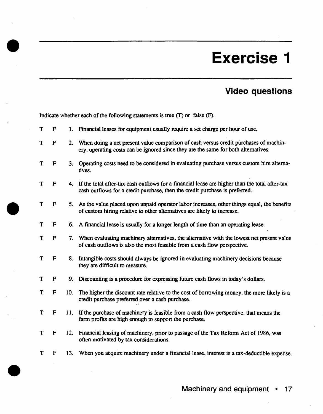# **Exercise <sup>1</sup>**

# **Video questions**

|   | Indicate whether each of the following statements is true (T) or false (F). |     |                                                                                                                                                                                  |  |  |  |  |  |  |
|---|-----------------------------------------------------------------------------|-----|----------------------------------------------------------------------------------------------------------------------------------------------------------------------------------|--|--|--|--|--|--|
| T | $\mathbf F$                                                                 |     | 1. Financial leases for equipment usually require a set charge per hour of use.                                                                                                  |  |  |  |  |  |  |
| T | F                                                                           |     | 2. When doing a net present value comparison of cash versus credit purchases of machin-<br>ery, operating costs can be ignored since they are the same for both alternatives.    |  |  |  |  |  |  |
| T | $\mathbf{F}$                                                                | 3.  | Operating costs need to be considered in evaluating purchase versus custom hire alterna-<br>tives.                                                                               |  |  |  |  |  |  |
| T | F                                                                           |     | 4. If the total after-tax cash outflows for a financial lease are higher than the total after-tax<br>cash outflows for a credit purchase, then the credit purchase is preferred. |  |  |  |  |  |  |
| T | F                                                                           |     | 5. As the value placed upon unpaid operator labor increases, other things equal, the benefits<br>of custom hiring relative to other alternatives are likely to increase.         |  |  |  |  |  |  |
| T | F                                                                           |     | 6. A financial lease is usually for a longer length of time than an operating lease.                                                                                             |  |  |  |  |  |  |
| T | F                                                                           |     | 7. When evaluating machinery alternatives, the alternative with the lowest net present value<br>of cash outflows is also the most feasible from a cash flow perspective.         |  |  |  |  |  |  |
| T | F                                                                           | 8.  | Intangible costs should always be ignored in evaluating machinery decisions because<br>they are difficult to measure.                                                            |  |  |  |  |  |  |
| T | F                                                                           | 9.  | Discounting is a procedure for expressing future cash flows in today's dollars.                                                                                                  |  |  |  |  |  |  |
| T | F                                                                           |     | 10. The higher the discount rate relative to the cost of borrowing money, the more likely is a<br>credit purchase preferred over a cash purchase.                                |  |  |  |  |  |  |
| T | F                                                                           |     | 11. If the purchase of machinery is feasible from a cash flow perspective, that means the<br>farm profits are high enough to support the purchase.                               |  |  |  |  |  |  |
| T | $\mathbf{F}$                                                                | 12. | Financial leasing of machinery, prior to passage of the Tax Reform Act of 1986, was<br>often motivated by tax considerations.                                                    |  |  |  |  |  |  |
| T | F                                                                           | 13. | When you acquire machinery under a financial lease, interest is a tax-deductible expense.                                                                                        |  |  |  |  |  |  |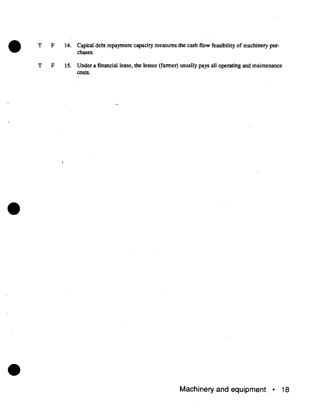- T F 14. Capital debt repayment capacity measures the cash flow feasibility of machinery purchases.
- T F 15. Under a financial lease, the lessee (farmer) usually pays all operating and maintenance costs.

 $\mathbb{R}^2$ 

 $\bullet$ 

 $\ddotsc$ 

**Machinery and equipment • 18**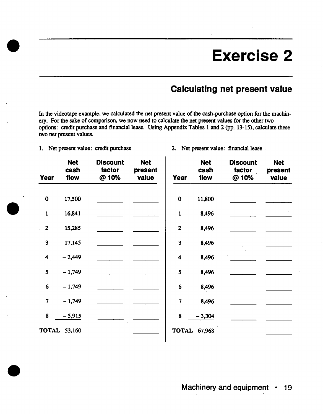# **Exercise 2**

## **Calculating net present value**

In the videotape example, we calculated the net present value of the cash-purchase option for the machinery. For the sake of comparison, we now need to calculate the net present values for the other two options: credit purchase and financial lease. Using Appendix Tables <sup>1</sup> and 2 (pp. 13-15), calculate these two net present values.

- 1. Net present value: credit purchase 2. Net present value: financial lease
	-

| <b>Net</b><br>present<br>value | <b>Discount</b><br>factor<br>@10% | <b>Net</b><br>cash<br>flow | <b>Year</b>             | <b>Net</b><br>present<br>value | <b>Discount</b><br>factor<br>@ 10% | <b>Net</b><br>cash<br>flow | <b>Year</b>             |
|--------------------------------|-----------------------------------|----------------------------|-------------------------|--------------------------------|------------------------------------|----------------------------|-------------------------|
|                                |                                   | 11,800                     | $\bf{0}$                |                                |                                    | 17,500                     | $\cdot$ 0               |
|                                |                                   | 8,496                      | $\mathbf{1}$            |                                |                                    | 16,841                     | $\mathbf{1}$            |
|                                |                                   | 8,496                      | $\boldsymbol{2}$        |                                |                                    | 15,285                     | $\mathbf{2}$            |
|                                |                                   | 8,496                      | $\overline{\mathbf{3}}$ |                                |                                    | 17,145                     | $\overline{\mathbf{3}}$ |
|                                |                                   | 8,496                      | $\overline{\mathbf{4}}$ |                                |                                    | $-2,449$                   | $\overline{\mathbf{4}}$ |
|                                |                                   | 8,496                      | 5                       |                                |                                    | $-1,749$                   | 5                       |
|                                |                                   | 8,496                      | $6\phantom{1}$          |                                |                                    | $-1,749$                   | 6                       |
|                                |                                   | 8,496                      | 7                       |                                |                                    | $-1,749$                   | $\overline{7}$          |
|                                |                                   | $-3,304$                   | 8                       |                                |                                    | $-5,915$                   | 8                       |
|                                |                                   | <b>TOTAL 67,968</b>        |                         |                                |                                    | <b>TOTAL 53,160</b>        |                         |
|                                |                                   |                            |                         |                                |                                    |                            |                         |

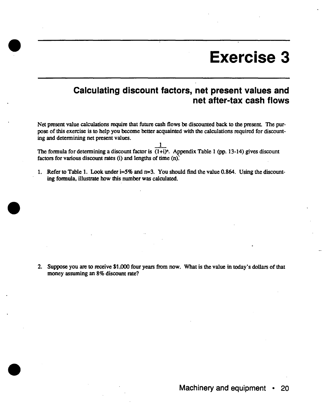# **Exercise 3**

## **Calculating discount factors, net present values and net after-tax cash flows**

Net present value calculations require that future cash flows be discounted back to the present. The purpose of this exercise is to help you become better acquainted with the calculations required for discounting and determining net present values.

1 The formula for determining a discount factor is  $(1+i)^n$ . Appendix Table 1 (pp. 13-14) gives discount factors for various discount rates (i) and lengths of time (n).

1. Refer to Table 1. Look under i=5% and n=3. You should find the value 0.864. Using the discounting formula, illustrate how this number was calculated.

2. Suppose you are to receive \$1,000 four years from now. What is the value in today's dollars of that money assuming an 8% discount rate?

**Machinery and equipment • 20**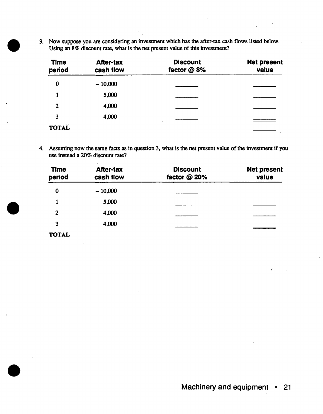3. Now suppose you are considering an investment which has the after-tax cash flows listed below. Using an 8% discount rate, what is the net present value of this investment?

| <b>Time</b><br>period | <b>After-tax</b><br>cash flow | <b>Discount</b><br>factor @ 8% | <b>Net present</b><br>value |
|-----------------------|-------------------------------|--------------------------------|-----------------------------|
| $\boldsymbol{0}$      | $-10,000$                     |                                |                             |
| 1                     | 5,000                         |                                |                             |
| $\overline{2}$        | 4,000                         |                                |                             |
| 3                     | 4,000                         |                                |                             |
| <b>TOTAL</b>          |                               |                                |                             |

4. Assuming now the same facts as in question 3, what is the net present value of the investment if you use instead a 20% discount rate?

| <b>Time</b><br>period | <b>After-tax</b><br>cash flow | <b>Discount</b><br>factor @ 20% | <b>Net present</b><br>value |
|-----------------------|-------------------------------|---------------------------------|-----------------------------|
| 0                     | $-10,000$                     |                                 |                             |
|                       | 5,000                         |                                 |                             |
| $\mathbf 2$           | 4,000                         |                                 |                             |
| 3                     | 4,000                         |                                 |                             |
| <b>TOTAL</b>          |                               |                                 |                             |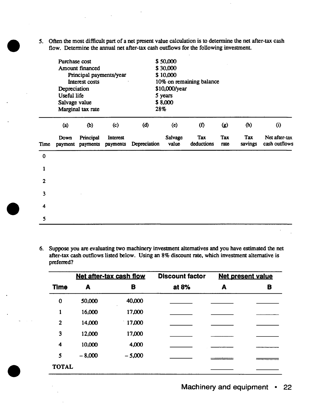5. Often the most difficult part of a net present value calculation is to determine the net after-tax cash **flow. Determine the annual net after-tax cash outflows for the following investment**

 $\sim 10$ 

| Purchase cost<br>Amount financed<br>Principal payments/year<br><b>Interest costs</b><br>Depreciation<br>Useful life<br>Salvage value<br>Marginal tax rate |                 |                       |                      | 28%          | \$50,000<br>\$30,000<br>\$10,000<br>\$10,000/year<br>5 years<br>\$8,000 | 10% on remaining balance |             |                |                                |
|-----------------------------------------------------------------------------------------------------------------------------------------------------------|-----------------|-----------------------|----------------------|--------------|-------------------------------------------------------------------------|--------------------------|-------------|----------------|--------------------------------|
|                                                                                                                                                           | (a)             | (b)                   | (c)                  | (d)          | (e)                                                                     | $\mathbf{f}$             | (g)         | (h)            | (i)                            |
| Time                                                                                                                                                      | Down<br>payment | Principal<br>payments | Interest<br>payments | Depreciation | Salvage<br>value                                                        | Tax<br>deductions        | Tax<br>rate | Tax<br>savings | Net after-tax<br>cash outflows |
| $\bf{0}$                                                                                                                                                  |                 |                       |                      |              |                                                                         |                          |             |                |                                |
| 1                                                                                                                                                         |                 |                       |                      |              |                                                                         |                          |             |                |                                |
| $\mathbf{2}$                                                                                                                                              |                 |                       |                      |              |                                                                         |                          |             |                |                                |
| 3                                                                                                                                                         |                 |                       |                      |              |                                                                         |                          |             |                |                                |
| 4                                                                                                                                                         |                 |                       |                      |              |                                                                         |                          |             |                |                                |
| 5                                                                                                                                                         |                 |                       |                      |              |                                                                         |                          |             |                |                                |

**6. Suppose you are evaluating two machinery investment alternatives and you have estimated the net after-tax cash outflows listed below. Using an 8% discount rate, which investment alternative is preferred?**

|                | <b>Net after-tax cash flow</b> |          | <b>Discount factor</b> | <b>Net present value</b> |   |
|----------------|--------------------------------|----------|------------------------|--------------------------|---|
| <b>Time</b>    | A                              | в        | at 8%                  | A                        | B |
| $\bf{0}$       | 50,000                         | 40,000   |                        |                          |   |
| 1              | 16,000                         | 17,000   |                        |                          |   |
| $\overline{2}$ | 14,000                         | 17,000   |                        |                          |   |
| 3              | 12,000                         | 17,000   |                        |                          |   |
| 4              | 10,000                         | 4,000    |                        |                          |   |
| 5              | $-8,000$                       | $-5,000$ |                        |                          |   |
| <b>TOTAL</b>   |                                |          |                        |                          |   |

### Machinery and equipment • 22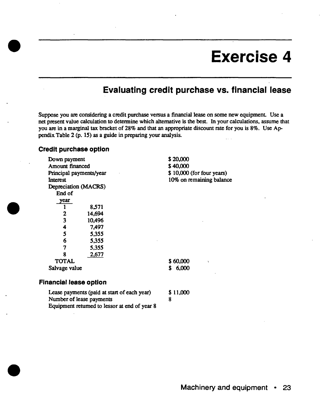# **Exercise 4**

## **Evaluating credit purchase vs. financial lease**

Suppose you are considering a credit purchase versus a financial lease on some new equipment. Use a net present value calculation to determine which alternative is the best. In your calculations, assume that you are in a marginal tax bracket of 28% and that an appropriate discount rate for you is 8%. Use Appendix Table 2 (p. IS) as a guide in preparing your analysis.

#### **Credit purchase option**

| Down payment                  |        | \$20,000                   |
|-------------------------------|--------|----------------------------|
| Amount financed               |        | \$40,000                   |
| Principal payments/year       |        | $$10,000$ (for four years) |
| Interest                      |        | 10% on remaining balance   |
| Depreciation (MACRS)          |        |                            |
| End of                        |        |                            |
| year                          |        |                            |
|                               | 8,571  |                            |
| 2                             | 14,694 |                            |
| 3                             | 10,496 |                            |
| 4                             | 7,497  |                            |
| 5                             | 5,355  |                            |
| 6                             | 5,355  |                            |
| 7                             | 5,355  |                            |
| 8                             | 2,677  |                            |
| <b>TOTAL</b>                  |        | \$60,000<br>١              |
| Salvage value                 |        | 6,000<br>S.                |
| <b>Financial lease option</b> |        |                            |

Lease payments (paid at start of each year) Number of lease payments Equipment returned to lessor at end of year 8 \$11,000 8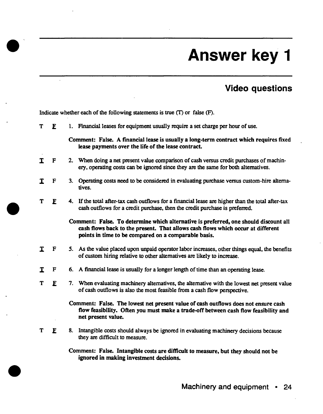# **Video questions**

|             | Indicate whether each of the following statements is true (T) or false (F). |  |                                                                                                                                                                                                                                 |  |  |  |  |
|-------------|-----------------------------------------------------------------------------|--|---------------------------------------------------------------------------------------------------------------------------------------------------------------------------------------------------------------------------------|--|--|--|--|
| Т           | E                                                                           |  | 1. Financial leases for equipment usually require a set charge per hour of use.                                                                                                                                                 |  |  |  |  |
|             |                                                                             |  | Comment: False. A financial lease is usually a long-term contract which requires fixed<br>lease payments over the life of the lease contract.                                                                                   |  |  |  |  |
| т           | $\mathbf{F}$                                                                |  | 2. When doing a net present value comparison of cash versus credit purchases of machin-<br>ery, operating costs can be ignored since they are the same for both alternatives.                                                   |  |  |  |  |
| $\mathbf T$ | $\mathbf{F}$                                                                |  | 3. Operating costs need to be considered in evaluating purchase versus custom-hire alterna-<br>tives.                                                                                                                           |  |  |  |  |
| Т           | $\bf{E}$                                                                    |  | 4. If the total after-tax cash outflows for a financial lease are higher than the total after-tax<br>cash outflows for a credit purchase, then the credit purchase is preferred.                                                |  |  |  |  |
|             |                                                                             |  | Comment: False. To determine which alternative is preferred, one should discount all<br>cash flows back to the present. That allows cash flows which occur at different<br>points in time to be compared on a comparable basis. |  |  |  |  |
| ${\bf T}$   | $\mathbf F$                                                                 |  | 5. As the value placed upon unpaid operator labor increases, other things equal, the benefits<br>of custom hiring relative to other alternatives are likely to increase.                                                        |  |  |  |  |
| ${\bf T}$   | F                                                                           |  | 6. A financial lease is usually for a longer length of time than an operating lease.                                                                                                                                            |  |  |  |  |
| Т           | E                                                                           |  | 7. When evaluating machinery alternatives, the alternative with the lowest net present value<br>of cash outflows is also the most feasible from a cash flow perspective.                                                        |  |  |  |  |
|             |                                                                             |  | Comment: False. The lowest net present value of cash outflows does not ensure cash<br>flow feasibility. Often you must make a trade-off between cash flow feasibility and<br>net present value.                                 |  |  |  |  |
| Т           | E                                                                           |  | 8. Intangible costs should always be ignored in evaluating machinery decisions because<br>they are difficult to measure.                                                                                                        |  |  |  |  |
|             |                                                                             |  | Comment: False. Intangible costs are difficult to measure, but they should not be<br>ignored in making investment decisions.                                                                                                    |  |  |  |  |

 $\ddot{\phantom{a}}$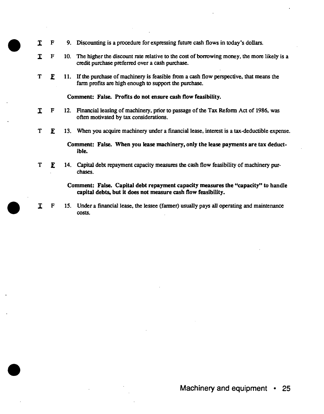- X F 9. Discounting is a procedure for expressing future cash flows in today's dollars.  $I$  F 10. The higher the discount rate relative to the cost of borrowing money, the more likely is a credit purchase preferred over a cash purchase.  $T \t F$  11. If the purchase of machinery is feasible from a cash flow perspective, that means the farm profits are high enough to support the purchase. **Comment: False. Profits do not ensure cash flow feasibility. X** F 12. Financial leasing of machinery, prior to passage of the Tax Reform Act of 1986, was often motivated by tax considerations. T **E** 13. When you acquire machinery under a financial lease, interest is a tax-deductible expense. **Comment: False. When you lease machinery, only the lease payments are tax deductible.** T **£ 14.** Capital debt repayment capacity measures the cash flow feasibility of machinery purchases. **Comment: False. Capital debt repayment capacity measures the "capacity" to handle capital debts, but it does not measure cash flow feasibility.**
	- **X** F IS. Under a financial lease, the lessee (fanner) usually pays all operating and maintenance costs.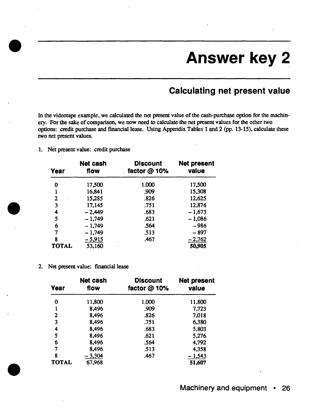## **Calculating net present value**

In the videotape example, we calculated the net present value of the cash-purchase option for the machinery. For the sake of comparison, we now need to calculate the net present values for the other two options: credit purchase and financial lease. Using Appendix Tables <sup>1</sup> and 2 (pp. 13-15), calculate these two net present values.

1. Net present value: credit purchase

| Year         | <b>Net cash</b><br>flow | <b>Discount</b><br>factor $@$ 10% | <b>Net present</b><br>value |
|--------------|-------------------------|-----------------------------------|-----------------------------|
| 0            | 17,500                  | 1.000                             | 17,500                      |
|              | 16,841                  | .909                              | 15,308                      |
| 2            | 15,285                  | .826                              | 12,625                      |
| 3            | 17,145                  | .751                              | 12,876                      |
| 4            | $-2,449$                | .683                              | $-1,673$                    |
| 5            | $-1,749$                | .621                              | $-1,086$                    |
| 6            | $-1,749$                | .564                              | $-986$                      |
| 7            | $-1,749$                | .513                              | $-897$                      |
| 8            | $-5,915$                | .467                              | $-2,762$                    |
| <b>TOTAL</b> | 53,160                  |                                   | 50,905                      |

2. Net present value: financial lease

| Year         | <b>Net cash</b><br><b>Discount</b><br>factor @ 10%<br>flow |       | <b>Net present</b><br>value |  |
|--------------|------------------------------------------------------------|-------|-----------------------------|--|
| 0            | 11,800                                                     | 1.000 | 11,800                      |  |
|              | 8,496                                                      | .909  | 7,723                       |  |
| 2            | 8,496                                                      | .826  | 7,018                       |  |
| 3            | 8,496                                                      | .751  | 6,380                       |  |
| 4            | 8,496                                                      | .683  | 5,803                       |  |
| 5            | 8,496                                                      | .621  | 5,276                       |  |
| 6            | 8,496                                                      | .564  | 4,792                       |  |
| 7            | 8,496                                                      | .513  | 4,358                       |  |
| 8            | $-3,304$                                                   | .467  | $-1,543$                    |  |
| <b>TOTAL</b> | 67,968                                                     |       | 51,607                      |  |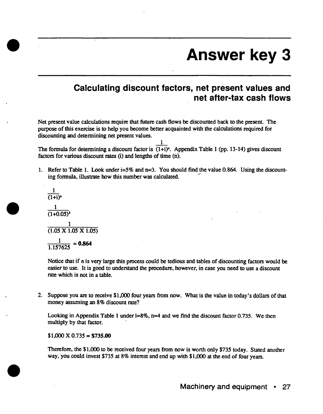## **Calculating discount factors, net present values and net after-tax cash flows**

Net present value calculations require that future cash flows be discounted back to the present. The purpose ofthis exercise is to help you become better acquainted with the calculations required for discounting and determining net present values.

1 The formula for determining a discount factor is  $(1+i)^n$ . Appendix Table 1 (pp. 13-14) gives discount factors for various discount rates (i) and lengths of time (n).

1. Refer to Table 1. Look under  $i=5\%$  and  $n=3$ . You should find the value 0.864. Using the discounting formula, illustrate how this number was calculated.

$$
\frac{1}{(1+i)^n}
$$
  

$$
\frac{1}{(1+0.05)^3}
$$
  

$$
\frac{1}{(1.05 \text{ X } 1.05 \text{ X } 1.05)}
$$
  

$$
\frac{1}{1.157625} = 0.864
$$

Notice that if *n* is very large this process could be tedious and tables of discounting factors would be easier to use. It is good to understand the procedure, however, in case you need to use a discount rate which is not in a table.

2. Suppose you are to receive \$1,000 four years from now. What is the value in today's dollars ofthat money assuming an 8% discount rate?

Looking in Appendix Table 1 under  $i=8\%$ ,  $n=4$  and we find the discount factor 0.735. We then multiply by that factor.

 $$1,000 \times 0.735 = $735.00$ 

Therefore, the \$1,000 to be received four years from now is worth only \$735 today. Stated another way, you could invest \$735 at 8% interest and end up with \$1,000 at the end of four years.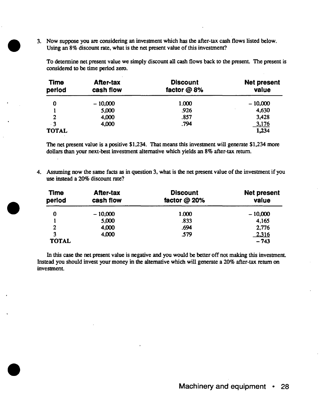3. Now suppose you are considering an investment which has the after-tax cash flows listed below. Using an 8% discount rate, what is the net present value of this investment?

| <b>Time</b><br>period     | <b>After-tax</b><br>cash flow | <b>Discount</b><br>factor @ 8% | <b>Net present</b><br>value |  |
|---------------------------|-------------------------------|--------------------------------|-----------------------------|--|
| 0                         | $-10,000$                     | 1.000                          | $-10,000$                   |  |
|                           | 5,000                         | .926                           | 4,630                       |  |
| $\overline{2}$            | 4,000                         | .857                           | 3,428                       |  |
| $\cdot$ 3<br><b>TOTAL</b> | 4,000                         | .794                           | 3,176<br>1,234              |  |

To determine net present value we simply discount all cash flows back to the present The present is considered to be time period zero.

The net present value is a positive \$1,234. That means this investment will generate \$1,234 more dollars than your next-best investment alternative which yields an 8% after-tax return.

4. Assuming now the same facts as in question 3, what is the net present value of the investment if you use instead a 20% discount rate?

| <b>Time</b><br>period   | <b>After-tax</b><br>cash flow | <b>Discount</b><br>factor $@20\%$ | <b>Net present</b><br>value |  |
|-------------------------|-------------------------------|-----------------------------------|-----------------------------|--|
| 0                       | $-10,000$                     | 1.000                             | $-10,000$                   |  |
|                         | 5,000                         | .833                              | 4,165                       |  |
| $\overline{2}$          | 4,000                         | .694                              | 2,776                       |  |
| $\overline{\mathbf{3}}$ | 4,000                         | .579                              | 2,316                       |  |
| <b>TOTAL</b>            |                               |                                   | $-743$                      |  |

In this case the net present value is negative and you would be better off not making this investment. Instead you should invest your money in the alternative which will generate a 20% after-tax return on investment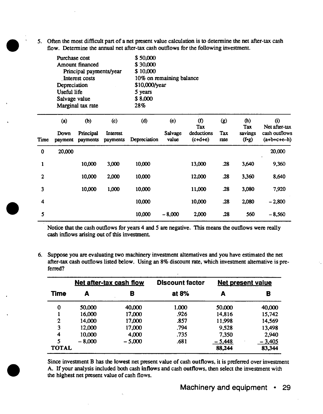5. Often the most difficult part of a net present value calculation is to determine the net after-tax cash flow. Determine the annual net after-tax cash outflows for the following investment.

|              | Purchase cost<br>Amount financed<br>Principal payments/year<br>Interest costs<br>Depreciation<br><b>Useful life</b><br>Salvage value<br>Marginal tax rate |                              | \$50,000<br>\$30,000<br>\$10,000<br>10% on remaining balance<br>\$10,000/year<br>5 years<br>\$8,000<br>28% |                     |                                |                                       |                    |                                        |                                                        |
|--------------|-----------------------------------------------------------------------------------------------------------------------------------------------------------|------------------------------|------------------------------------------------------------------------------------------------------------|---------------------|--------------------------------|---------------------------------------|--------------------|----------------------------------------|--------------------------------------------------------|
| Time         | (a)<br>Down<br>payment                                                                                                                                    | (b)<br>Principal<br>payments | (c)<br>Interest<br>payments                                                                                | (d)<br>Depreciation | (e)<br><b>Salvage</b><br>value | (f)<br>Tax<br>deductions<br>$(c+d+e)$ | (g)<br>Tax<br>rate | (h)<br>Tax<br>savings<br>$(f \cdot g)$ | (i)<br>Net after-tax<br>cash outflows<br>$(a+b+c+c-h)$ |
| $\bf{0}$     | 20,000                                                                                                                                                    |                              |                                                                                                            |                     |                                |                                       |                    |                                        | 20,000                                                 |
| 1            |                                                                                                                                                           | 10,000                       | 3,000                                                                                                      | 10,000              |                                | 13,000                                | .28                | 3,640                                  | 9,360                                                  |
| $\mathbf{2}$ |                                                                                                                                                           | 10,000                       | 2,000                                                                                                      | 10,000              |                                | 12,000                                | .28                | 3,360                                  | 8,640                                                  |
| 3            |                                                                                                                                                           | 10,000                       | 1,000                                                                                                      | 10,000              |                                | 11,000                                | .28                | 3,080                                  | 7,920                                                  |
| 4            |                                                                                                                                                           |                              |                                                                                                            | 10,000              |                                | 10,000                                | .28                | 2,080                                  | $-2,800$                                               |
| 5            |                                                                                                                                                           |                              |                                                                                                            | 10,000              | $-8,000$                       | 2,000                                 | .28                | 560                                    | $-8,560$                                               |

Notice that the cash outflows for years 4 and 5 are negative. This means the outflows were really cash inflows arising out of this investment

6. Suppose you are evaluating two machinery investment alternatives and you have estimated the net after-tax cash outflows listed below. Using an 8% discount rate, which investment alternative is preferred?

|                | <b>Net after-tax cash flow</b> |          | <b>Discount factor</b> |          | <b>Net present value</b> |  |
|----------------|--------------------------------|----------|------------------------|----------|--------------------------|--|
| <b>Time</b>    | А                              | в        | at 8%                  | А        | В                        |  |
| 0              | 50,000                         | 40,000   | 1.000                  | 50,000   | 40,000                   |  |
|                | 16,000                         | 17,000   | .926                   | 14,816   | 15,742                   |  |
| $\overline{2}$ | 14,000                         | 17,000   | .857                   | 11,998   | 14,569                   |  |
| 3              | 12,000                         | 17,000   | .794                   | 9,528    | 13,498                   |  |
| 4              | 10,000                         | 4,000    | .735                   | 7,350    | 2,940                    |  |
| 5              | $-8,000$                       | $-5,000$ | .681                   | $-5,448$ | $-3,405$                 |  |
| <b>TOTAL</b>   |                                |          |                        | 88,244   | 83,344                   |  |

Since investment B has the lowest net present value of cash outflows, it is preferred over investment A. If your analysis included both cash inflows and cash outflows, then select the investment with the highest net present value of cash flows.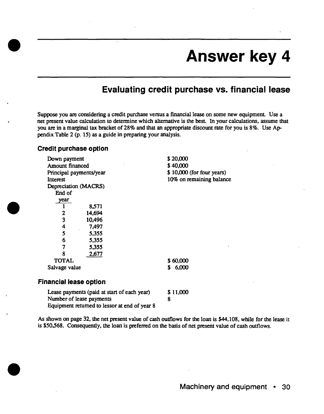## **Evaluating credit purchase vs. financial lease**

Suppose you are considering a credit purchase versus a financial lease on some new equipment. Use a net present value calculation to determine which alternative is the best. In your calculations, assume that you are in a marginal tax bracket of 28% and that an appropriate discount rate for you is 8%. Use Appendix Table 2 (p. 15) as a guide in preparing your analysis.

#### **Credit purchase option**

| Down payment            |                                             | \$20,000                   |  |  |
|-------------------------|---------------------------------------------|----------------------------|--|--|
| Amount financed         |                                             | \$40,000                   |  |  |
| Principal payments/year |                                             | $$10,000$ (for four years) |  |  |
| Interest                |                                             | 10% on remaining balance   |  |  |
| Depreciation (MACRS)    |                                             |                            |  |  |
| End of                  |                                             |                            |  |  |
| year                    |                                             |                            |  |  |
|                         | 8,571                                       |                            |  |  |
| 2                       | 14,694                                      |                            |  |  |
| 3                       | 10,496                                      |                            |  |  |
| 4                       | 7,497                                       |                            |  |  |
| 5                       | 5,355                                       |                            |  |  |
| 6                       | 5,355                                       |                            |  |  |
| 7                       | 5,355                                       |                            |  |  |
| 8                       | 2,677                                       |                            |  |  |
| <b>TOTAL</b>            |                                             | \$60,000                   |  |  |
| Salvage value           |                                             | 6,000<br>S                 |  |  |
| Financial lease option  |                                             |                            |  |  |
|                         | Lease payments (paid at start of each year) | \$11,000                   |  |  |

Number of lease payments Equipment returned to lessor at end of year 8 8

As shown on page 32, the net present value of cash outflows for the loan is \$44,108, while for the lease it is \$50,568. Consequently, the loan is preferred on the basis of net present value of cash outflows.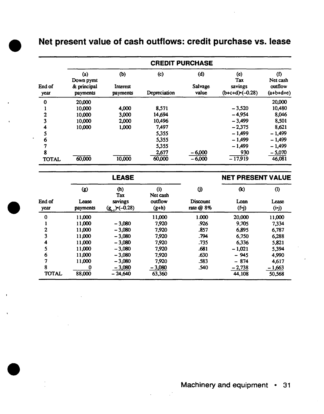# **Net present value of cash outflows: credit purchase vs. lease**

|                | <b>CREDIT PURCHASE</b>                      |                             |                     |                         |                                              |                                           |  |  |
|----------------|---------------------------------------------|-----------------------------|---------------------|-------------------------|----------------------------------------------|-------------------------------------------|--|--|
| End of<br>year | (a)<br>Down pymt<br>& principal<br>payments | (b)<br>Interest<br>payments | (c)<br>Depreciation | (d)<br>Salvage<br>value | (e)<br>Tax<br>savings<br>$(b+c+d)$ $(-0.28)$ | (f)<br>Net cash<br>outflow<br>$(a+b+d+c)$ |  |  |
| $\bf{0}$       | 20,000                                      |                             |                     |                         |                                              | 20,000                                    |  |  |
|                | 10,000                                      | 4,000                       | 8,571               |                         | $-3,520$                                     | 10,480                                    |  |  |
| 2              | 10,000                                      | 3,000                       | 14,694              |                         | $-4,954$                                     | 8,046                                     |  |  |
|                | 10,000                                      | 2,000                       | 10,496              |                         | $-3,499$                                     | 8,501                                     |  |  |
|                | 10,000                                      | 1,000                       | 7,497               |                         | $-2,375$                                     | 8,621                                     |  |  |
|                |                                             |                             | 5,355               |                         | $-1,499$                                     | $-1,499$                                  |  |  |
| 6              |                                             |                             | 5,355               |                         | $-1,499$                                     | $-1,499$                                  |  |  |
|                |                                             |                             | 5,355               |                         | $-1,499$                                     | $-1,499$                                  |  |  |
| 8              |                                             |                             | 2,677               | $-6,000$                | 930                                          | $-5,070$                                  |  |  |
| <b>TOTAL</b>   | 60,000                                      | 10,000                      | 60,000              | $-6,000$                | $-17,919$                                    | 46,081                                    |  |  |

|                |                   | <b>LEASE</b>                        |                    |                       | <b>NET PRESENT VALUE</b> |                |
|----------------|-------------------|-------------------------------------|--------------------|-----------------------|--------------------------|----------------|
|                | $\bf (g)$         | (h)<br>Tax                          | (i)<br>Net cash    | $\ddot{\mathbf{U}}$   | (k)                      | (1)            |
| End of<br>year | Lease<br>payments | savings<br>$(g_{-1}) \cdot (-0.28)$ | outflow<br>$(g+h)$ | Discount<br>rate @ 8% | Loan<br>(f•j)            | Lease<br>(i•j) |
| $\bf{0}$       | 11,000            |                                     | 11,000             | 1.000                 | 20,000                   | 11,000         |
|                | 11,000            | $-3,080$                            | 7,920              | .926                  | 9,705                    | 7,334          |
| $\mathbf 2$    | 11,000            | $-3,080$                            | 7,920              | .857                  | 6,895                    | 6,787          |
| 3              | 11,000            | $-3,080$                            | 7,920              | .794                  | 6,750                    | 6,288          |
| 4              | 11,000            | $-3,080$                            | 7,920              | .735                  | 6,336                    | 5,821          |
| 5              | 11,000            | $-3,080$                            | 7,920              | .681                  | $-1,021$                 | 5,394          |
| 6              | 11,000            | $-3,080$                            | 7,920              | .630                  | - 945                    | 4,990          |
| 7              | 11,000            | $-3,080$                            | 7,920              | .583                  | $-874$                   | 4,617          |
| 8              | o                 | $-3,080$                            | $-3,080$           | .540                  | $-2,738$                 | $-1,663$       |
| <b>TOTAL</b>   | 88,000            | $-24,640$                           | 63,360             |                       | 44,108                   | 50,568         |